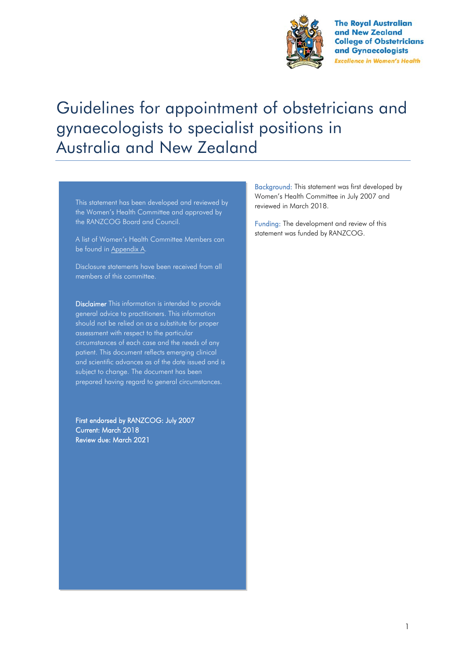

**The Royal Australian** and New Zealand **College of Obstetricians** and Gynaecologists **Excellence in Women's Health** 

# Guidelines for appointment of obstetricians and gynaecologists to specialist positions in Australia and New Zealand

This statement has been developed and reviewed by the Women's Health Committee and approved by the RANZCOG Board and Council.

A list of Women's Health Committee Members can be found in Appendix A.

Disclosure statements have been received from all members of this committee.

Disclaimer This information is intended to provide general advice to practitioners. This information should not be relied on as a substitute for proper assessment with respect to the particular circumstances of each case and the needs of any patient. This document reflects emerging clinical and scientific advances as of the date issued and is subject to change. The document has been prepared having regard to general circumstances.

First endorsed by RANZCOG: July 2007 Current: March 2018 Review due: March 2021

Background: This statement was first developed by Women's Health Committee in July 2007 and reviewed in March 2018.

Funding: The development and review of this statement was funded by RANZCOG.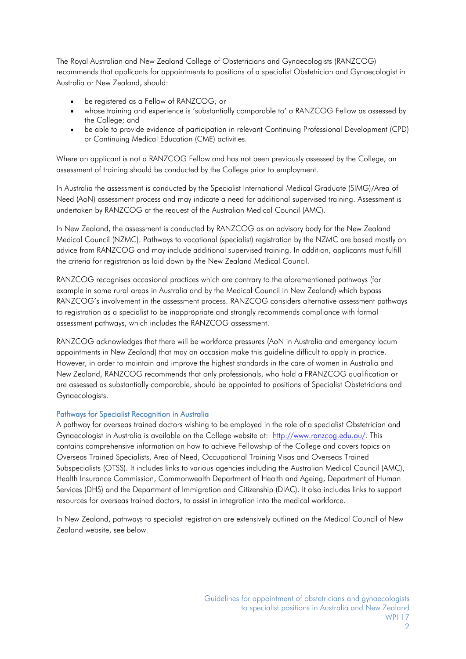The Royal Australian and New Zealand College of Obstetricians and Gynaecologists (RANZCOG) recommends that applicants for appointments to positions of a specialist Obstetrician and Gynaecologist in Australia or New Zealand, should:

- be registered as a Fellow of RANZCOG; or
- whose training and experience is 'substantially comparable to' a RANZCOG Fellow as assessed by the College; and
- be able to provide evidence of participation in relevant Continuing Professional Development (CPD) or Continuing Medical Education (CME) activities.

Where an applicant is not a RANZCOG Fellow and has not been previously assessed by the College, an assessment of training should be conducted by the College prior to employment.

In Australia the assessment is conducted by the Specialist International Medical Graduate (SIMG)/Area of Need (AoN) assessment process and may indicate a need for additional supervised training. Assessment is undertaken by RANZCOG at the request of the Australian Medical Council (AMC).

In New Zealand, the assessment is conducted by RANZCOG as an advisory body for the New Zealand Medical Council (NZMC). Pathways to vocational (specialist) registration by the NZMC are based mostly on advice from RANZCOG and may include additional supervised training. In addition, applicants must fulfill the criteria for registration as laid down by the New Zealand Medical Council.

RANZCOG recognises occasional practices which are contrary to the aforementioned pathways (for example in some rural areas in Australia and by the Medical Council in New Zealand) which bypass RANZCOG's involvement in the assessment process. RANZCOG considers alternative assessment pathways to registration as a specialist to be inappropriate and strongly recommends compliance with formal assessment pathways, which includes the RANZCOG assessment.

RANZCOG acknowledges that there will be workforce pressures (AoN in Australia and emergency locum appointments in New Zealand) that may on occasion make this guideline difficult to apply in practice. However, in order to maintain and improve the highest standards in the care of women in Australia and New Zealand, RANZCOG recommends that only professionals, who hold a FRANZCOG qualification or are assessed as substantially comparable, should be appointed to positions of Specialist Obstetricians and Gynaecologists.

## Pathways for Specialist Recognition in Australia

A pathway for overseas trained doctors wishing to be employed in the role of a specialist Obstetrician and Gynaecologist in Australia is available on the College website at: [http://www.ranzcog.edu.au/.](http://www.ranzcog.edu.au/) This contains comprehensive information on how to achieve Fellowship of the College and covers topics on Overseas Trained Specialists, Area of Need, Occupational Training Visas and Overseas Trained Subspecialists (OTSS). It includes links to various agencies including the Australian Medical Council (AMC), Health Insurance Commission, Commonwealth Department of Health and Ageing, Department of Human Services (DHS) and the Department of Immigration and Citizenship (DIAC). It also includes links to support resources for overseas trained doctors, to assist in integration into the medical workforce.

In New Zealand, pathways to specialist registration are extensively outlined on the Medical Council of New Zealand website, see below.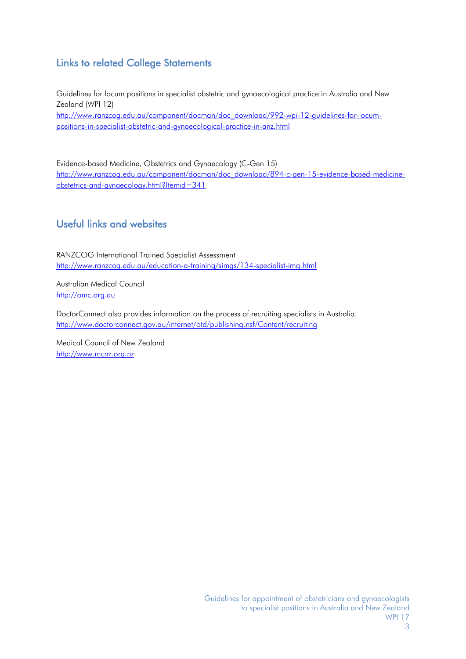# Links to related College Statements

Guidelines for locum positions in specialist obstetric and gynaecological practice in Australia and New Zealand (WPI 12) [http://www.ranzcog.edu.au/component/docman/doc\\_download/992-wpi-12-guidelines-for-locum](http://www.ranzcog.edu.au/component/docman/doc_download/992-wpi-12-guidelines-for-locum-positions-in-specialist-obstetric-and-gynaecological-practice-in-anz.html)[positions-in-specialist-obstetric-and-gynaecological-practice-in-anz.html](http://www.ranzcog.edu.au/component/docman/doc_download/992-wpi-12-guidelines-for-locum-positions-in-specialist-obstetric-and-gynaecological-practice-in-anz.html)

Evidence-based Medicine, Obstetrics and Gynaecology (C-Gen 15) [http://www.ranzcog.edu.au/component/docman/doc\\_download/894-c-gen-15-evidence-based-medicine](http://www.ranzcog.edu.au/component/docman/doc_download/894-c-gen-15-evidence-based-medicine-obstetrics-and-gynaecology.html?Itemid=341)[obstetrics-and-gynaecology.html?Itemid=341](http://www.ranzcog.edu.au/component/docman/doc_download/894-c-gen-15-evidence-based-medicine-obstetrics-and-gynaecology.html?Itemid=341)

# Useful links and websites

RANZCOG International Trained Specialist Assessment <http://www.ranzcog.edu.au/education-a-training/simgs/134-specialist-img.html>

Australian Medical Council [http://amc.org.au](http://amc.org.au/)

DoctorConnect also provides information on the process of recruiting specialists in Australia. <http://www.doctorconnect.gov.au/internet/otd/publishing.nsf/Content/recruiting>

Medical Council of New Zealand [http://www.mcnz.org.nz](http://www.mcnz.org.nz/)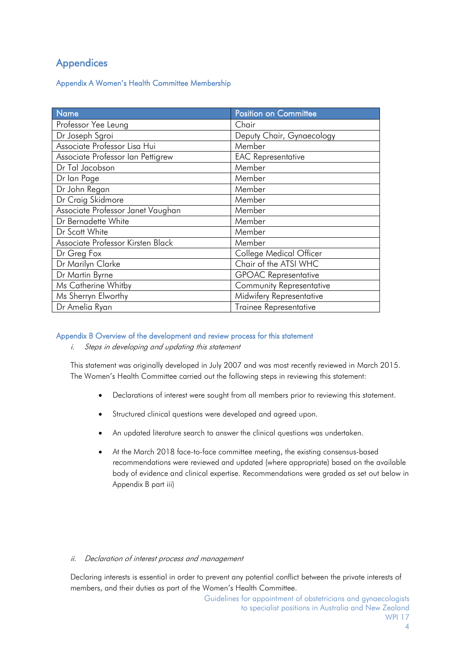# Appendices

## Appendix A Women's Health Committee Membership

| Name                              | <b>Position on Committee</b>    |  |
|-----------------------------------|---------------------------------|--|
| Professor Yee Leung               | Chair                           |  |
| Dr Joseph Sgroi                   | Deputy Chair, Gynaecology       |  |
| Associate Professor Lisa Hui      | Member                          |  |
| Associate Professor Ian Pettigrew | <b>EAC Representative</b>       |  |
| Dr Tal Jacobson                   | Member                          |  |
| Dr lan Page                       | Member                          |  |
| Dr John Regan                     | Member                          |  |
| Dr Craig Skidmore                 | Member                          |  |
| Associate Professor Janet Vaughan | Member                          |  |
| Dr Bernadette White               | Member                          |  |
| Dr Scott White                    | Member                          |  |
| Associate Professor Kirsten Black | Member                          |  |
| Dr Greg Fox                       | College Medical Officer         |  |
| Dr Marilyn Clarke                 | Chair of the ATSI WHC           |  |
| Dr Martin Byrne                   | <b>GPOAC Representative</b>     |  |
| Ms Catherine Whitby               | <b>Community Representative</b> |  |
| Ms Sherryn Elworthy               | Midwifery Representative        |  |
| Dr Amelia Ryan                    | <b>Trainee Representative</b>   |  |

## Appendix B Overview of the development and review process for this statement

i. Steps in developing and updating this statement

This statement was originally developed in July 2007 and was most recently reviewed in March 2015. The Women's Health Committee carried out the following steps in reviewing this statement:

- Declarations of interest were sought from all members prior to reviewing this statement.
- Structured clinical questions were developed and agreed upon.
- An updated literature search to answer the clinical questions was undertaken.
- At the March 2018 face-to-face committee meeting, the existing consensus-based recommendations were reviewed and updated (where appropriate) based on the available body of evidence and clinical expertise. Recommendations were graded as set out below in Appendix B part iii)

## ii. Declaration of interest process and management

Declaring interests is essential in order to prevent any potential conflict between the private interests of members, and their duties as part of the Women's Health Committee.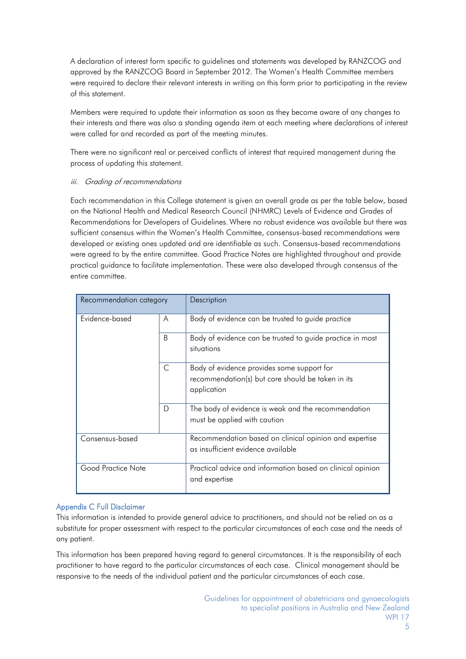A declaration of interest form specific to guidelines and statements was developed by RANZCOG and approved by the RANZCOG Board in September 2012. The Women's Health Committee members were required to declare their relevant interests in writing on this form prior to participating in the review of this statement.

Members were required to update their information as soon as they become aware of any changes to their interests and there was also a standing agenda item at each meeting where declarations of interest were called for and recorded as part of the meeting minutes.

There were no significant real or perceived conflicts of interest that required management during the process of updating this statement.

## iii. Grading of recommendations

Each recommendation in this College statement is given an overall grade as per the table below, based on the National Health and Medical Research Council (NHMRC) Levels of Evidence and Grades of Recommendations for Developers of Guidelines. Where no robust evidence was available but there was sufficient consensus within the Women's Health Committee, consensus-based recommendations were developed or existing ones updated and are identifiable as such. Consensus-based recommendations were agreed to by the entire committee. Good Practice Notes are highlighted throughout and provide practical guidance to facilitate implementation. These were also developed through consensus of the entire committee.

| Recommendation category |              | Description                                                                                                    |
|-------------------------|--------------|----------------------------------------------------------------------------------------------------------------|
| Evidence-based          | A            | Body of evidence can be trusted to guide practice                                                              |
|                         | <sub>B</sub> | Body of evidence can be trusted to guide practice in most<br>situations                                        |
|                         | C            | Body of evidence provides some support for<br>recommendation(s) but care should be taken in its<br>application |
|                         | D            | The body of evidence is weak and the recommendation<br>must be applied with caution                            |
| Consensus-based         |              | Recommendation based on clinical opinion and expertise<br>as insufficient evidence available                   |
| Good Practice Note      |              | Practical advice and information based on clinical opinion<br>and expertise                                    |

## Appendix C Full Disclaimer

This information is intended to provide general advice to practitioners, and should not be relied on as a substitute for proper assessment with respect to the particular circumstances of each case and the needs of any patient.

This information has been prepared having regard to general circumstances. It is the responsibility of each practitioner to have regard to the particular circumstances of each case. Clinical management should be responsive to the needs of the individual patient and the particular circumstances of each case.